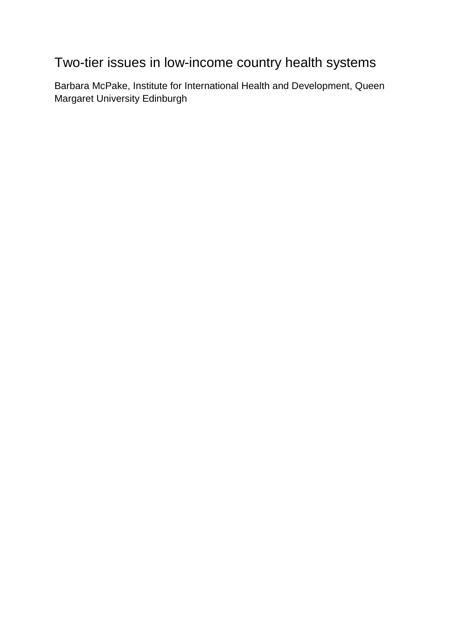# Two-tier issues in low-income country health systems

Barbara McPake, Institute for International Health and Development, Queen Margaret University Edinburgh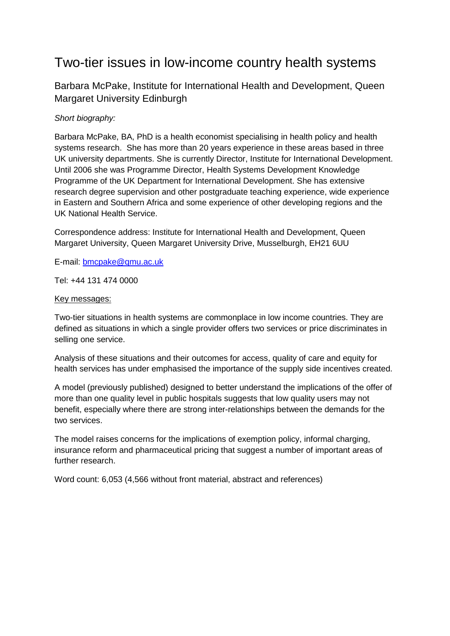# Two-tier issues in low-income country health systems

Barbara McPake, Institute for International Health and Development, Queen Margaret University Edinburgh

# *Short biography:*

Barbara McPake, BA, PhD is a health economist specialising in health policy and health systems research. She has more than 20 years experience in these areas based in three UK university departments. She is currently Director, Institute for International Development. Until 2006 she was Programme Director, Health Systems Development Knowledge Programme of the UK Department for International Development. She has extensive research degree supervision and other postgraduate teaching experience, wide experience in Eastern and Southern Africa and some experience of other developing regions and the UK National Health Service.

Correspondence address: Institute for International Health and Development, Queen Margaret University, Queen Margaret University Drive, Musselburgh, EH21 6UU

E-mail: bmcpake@qmu.ac.uk

Tel: +44 131 474 0000

#### Key messages:

Two-tier situations in health systems are commonplace in low income countries. They are defined as situations in which a single provider offers two services or price discriminates in selling one service.

Analysis of these situations and their outcomes for access, quality of care and equity for health services has under emphasised the importance of the supply side incentives created.

A model (previously published) designed to better understand the implications of the offer of more than one quality level in public hospitals suggests that low quality users may not benefit, especially where there are strong inter-relationships between the demands for the two services

The model raises concerns for the implications of exemption policy, informal charging, insurance reform and pharmaceutical pricing that suggest a number of important areas of further research.

Word count: 6,053 (4,566 without front material, abstract and references)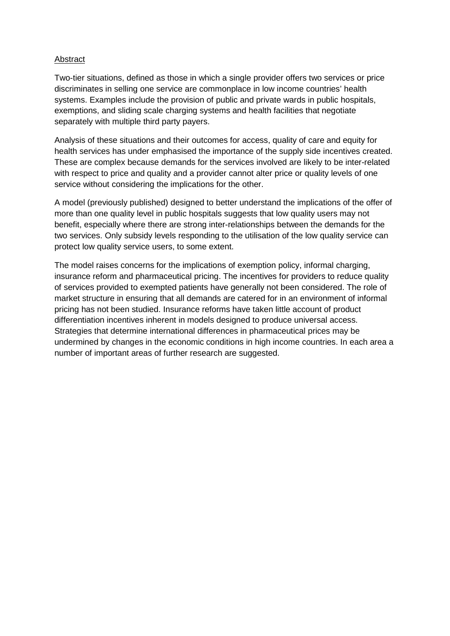#### Abstract

Two-tier situations, defined as those in which a single provider offers two services or price discriminates in selling one service are commonplace in low income countries' health systems. Examples include the provision of public and private wards in public hospitals, exemptions, and sliding scale charging systems and health facilities that negotiate separately with multiple third party payers.

Analysis of these situations and their outcomes for access, quality of care and equity for health services has under emphasised the importance of the supply side incentives created. These are complex because demands for the services involved are likely to be inter-related with respect to price and quality and a provider cannot alter price or quality levels of one service without considering the implications for the other.

A model (previously published) designed to better understand the implications of the offer of more than one quality level in public hospitals suggests that low quality users may not benefit, especially where there are strong inter-relationships between the demands for the two services. Only subsidy levels responding to the utilisation of the low quality service can protect low quality service users, to some extent.

The model raises concerns for the implications of exemption policy, informal charging, insurance reform and pharmaceutical pricing. The incentives for providers to reduce quality of services provided to exempted patients have generally not been considered. The role of market structure in ensuring that all demands are catered for in an environment of informal pricing has not been studied. Insurance reforms have taken little account of product differentiation incentives inherent in models designed to produce universal access. Strategies that determine international differences in pharmaceutical prices may be undermined by changes in the economic conditions in high income countries. In each area a number of important areas of further research are suggested.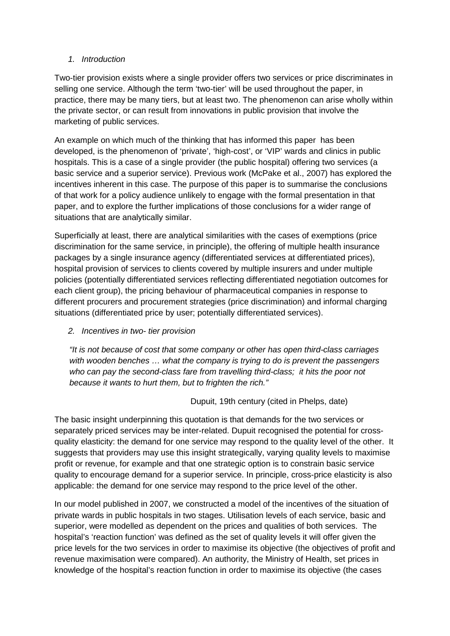## *1. Introduction*

Two-tier provision exists where a single provider offers two services or price discriminates in selling one service. Although the term 'two-tier' will be used throughout the paper, in practice, there may be many tiers, but at least two. The phenomenon can arise wholly within the private sector, or can result from innovations in public provision that involve the marketing of public services.

An example on which much of the thinking that has informed this paper has been developed, is the phenomenon of 'private', 'high-cost', or 'VIP' wards and clinics in public hospitals. This is a case of a single provider (the public hospital) offering two services (a basic service and a superior service). Previous work (McPake et al., 2007) has explored the incentives inherent in this case. The purpose of this paper is to summarise the conclusions of that work for a policy audience unlikely to engage with the formal presentation in that paper, and to explore the further implications of those conclusions for a wider range of situations that are analytically similar.

Superficially at least, there are analytical similarities with the cases of exemptions (price discrimination for the same service, in principle), the offering of multiple health insurance packages by a single insurance agency (differentiated services at differentiated prices), hospital provision of services to clients covered by multiple insurers and under multiple policies (potentially differentiated services reflecting differentiated negotiation outcomes for each client group), the pricing behaviour of pharmaceutical companies in response to different procurers and procurement strategies (price discrimination) and informal charging situations (differentiated price by user; potentially differentiated services).

*2. Incentives in two- tier provision*

*"It is not because of cost that some company or other has open third-class carriages with wooden benches … what the company is trying to do is prevent the passengers who can pay the second-class fare from travelling third-class; it hits the poor not because it wants to hurt them, but to frighten the rich."* 

Dupuit, 19th century (cited in Phelps, date)

The basic insight underpinning this quotation is that demands for the two services or separately priced services may be inter-related. Dupuit recognised the potential for crossquality elasticity: the demand for one service may respond to the quality level of the other. It suggests that providers may use this insight strategically, varying quality levels to maximise profit or revenue, for example and that one strategic option is to constrain basic service quality to encourage demand for a superior service. In principle, cross-price elasticity is also applicable: the demand for one service may respond to the price level of the other.

In our model published in 2007, we constructed a model of the incentives of the situation of private wards in public hospitals in two stages. Utilisation levels of each service, basic and superior, were modelled as dependent on the prices and qualities of both services. The hospital's 'reaction function' was defined as the set of quality levels it will offer given the price levels for the two services in order to maximise its objective (the objectives of profit and revenue maximisation were compared). An authority, the Ministry of Health, set prices in knowledge of the hospital's reaction function in order to maximise its objective (the cases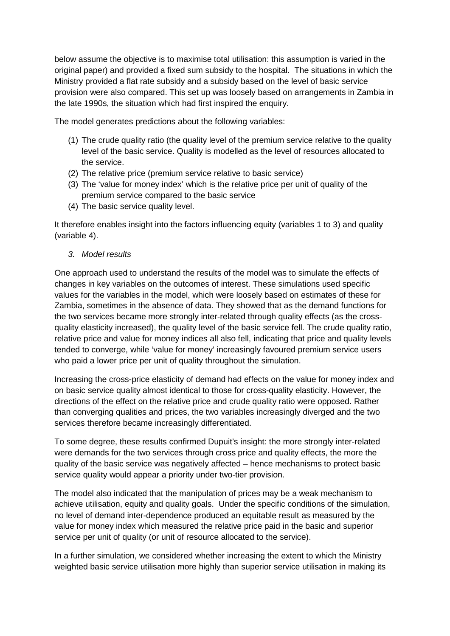below assume the objective is to maximise total utilisation: this assumption is varied in the original paper) and provided a fixed sum subsidy to the hospital. The situations in which the Ministry provided a flat rate subsidy and a subsidy based on the level of basic service provision were also compared. This set up was loosely based on arrangements in Zambia in the late 1990s, the situation which had first inspired the enquiry.

The model generates predictions about the following variables:

- (1) The crude quality ratio (the quality level of the premium service relative to the quality level of the basic service. Quality is modelled as the level of resources allocated to the service.
- (2) The relative price (premium service relative to basic service)
- (3) The 'value for money index' which is the relative price per unit of quality of the premium service compared to the basic service
- (4) The basic service quality level.

It therefore enables insight into the factors influencing equity (variables 1 to 3) and quality (variable 4).

*3. Model results* 

One approach used to understand the results of the model was to simulate the effects of changes in key variables on the outcomes of interest. These simulations used specific values for the variables in the model, which were loosely based on estimates of these for Zambia, sometimes in the absence of data. They showed that as the demand functions for the two services became more strongly inter-related through quality effects (as the crossquality elasticity increased), the quality level of the basic service fell. The crude quality ratio, relative price and value for money indices all also fell, indicating that price and quality levels tended to converge, while 'value for money' increasingly favoured premium service users who paid a lower price per unit of quality throughout the simulation.

Increasing the cross-price elasticity of demand had effects on the value for money index and on basic service quality almost identical to those for cross-quality elasticity. However, the directions of the effect on the relative price and crude quality ratio were opposed. Rather than converging qualities and prices, the two variables increasingly diverged and the two services therefore became increasingly differentiated.

To some degree, these results confirmed Dupuit's insight: the more strongly inter-related were demands for the two services through cross price and quality effects, the more the quality of the basic service was negatively affected – hence mechanisms to protect basic service quality would appear a priority under two-tier provision.

The model also indicated that the manipulation of prices may be a weak mechanism to achieve utilisation, equity and quality goals. Under the specific conditions of the simulation, no level of demand inter-dependence produced an equitable result as measured by the value for money index which measured the relative price paid in the basic and superior service per unit of quality (or unit of resource allocated to the service).

In a further simulation, we considered whether increasing the extent to which the Ministry weighted basic service utilisation more highly than superior service utilisation in making its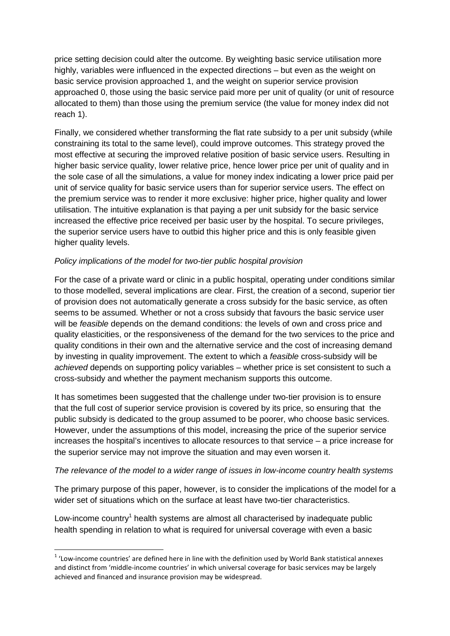price setting decision could alter the outcome. By weighting basic service utilisation more highly, variables were influenced in the expected directions – but even as the weight on basic service provision approached 1, and the weight on superior service provision approached 0, those using the basic service paid more per unit of quality (or unit of resource allocated to them) than those using the premium service (the value for money index did not reach 1).

Finally, we considered whether transforming the flat rate subsidy to a per unit subsidy (while constraining its total to the same level), could improve outcomes. This strategy proved the most effective at securing the improved relative position of basic service users. Resulting in higher basic service quality, lower relative price, hence lower price per unit of quality and in the sole case of all the simulations, a value for money index indicating a lower price paid per unit of service quality for basic service users than for superior service users. The effect on the premium service was to render it more exclusive: higher price, higher quality and lower utilisation. The intuitive explanation is that paying a per unit subsidy for the basic service increased the effective price received per basic user by the hospital. To secure privileges, the superior service users have to outbid this higher price and this is only feasible given higher quality levels.

## *Policy implications of the model for two-tier public hospital provision*

For the case of a private ward or clinic in a public hospital, operating under conditions similar to those modelled, several implications are clear. First, the creation of a second, superior tier of provision does not automatically generate a cross subsidy for the basic service, as often seems to be assumed. Whether or not a cross subsidy that favours the basic service user will be *feasible* depends on the demand conditions: the levels of own and cross price and quality elasticities, or the responsiveness of the demand for the two services to the price and quality conditions in their own and the alternative service and the cost of increasing demand by investing in quality improvement. The extent to which a *feasible* cross-subsidy will be *achieved* depends on supporting policy variables – whether price is set consistent to such a cross-subsidy and whether the payment mechanism supports this outcome.

It has sometimes been suggested that the challenge under two-tier provision is to ensure that the full cost of superior service provision is covered by its price, so ensuring that the public subsidy is dedicated to the group assumed to be poorer, who choose basic services. However, under the assumptions of this model, increasing the price of the superior service increases the hospital's incentives to allocate resources to that service – a price increase for the superior service may not improve the situation and may even worsen it.

#### *The relevance of the model to a wider range of issues in low-income country health systems*

The primary purpose of this paper, however, is to consider the implications of the model for a wider set of situations which on the surface at least have two-tier characteristics.

Low-income country<sup>1</sup> health systems are almost all characterised by inadequate public health spending in relation to what is required for universal coverage with even a basic

 $\overline{a}$ 

 $1$  'Low-income countries' are defined here in line with the definition used by World Bank statistical annexes and distinct from 'middle-income countries' in which universal coverage for basic services may be largely achieved and financed and insurance provision may be widespread.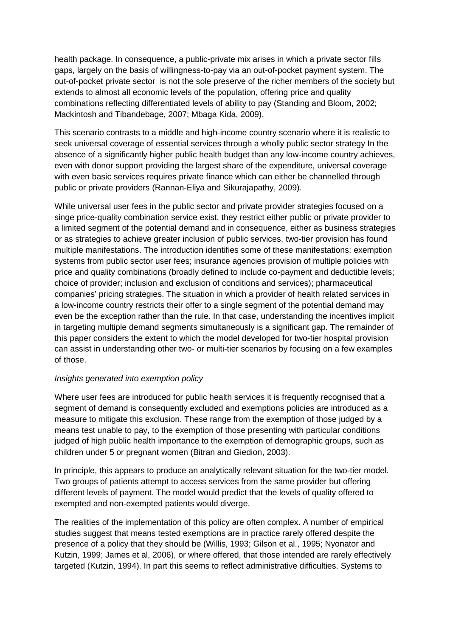health package. In consequence, a public-private mix arises in which a private sector fills gaps, largely on the basis of willingness-to-pay via an out-of-pocket payment system. The out-of-pocket private sector is not the sole preserve of the richer members of the society but extends to almost all economic levels of the population, offering price and quality combinations reflecting differentiated levels of ability to pay (Standing and Bloom, 2002; Mackintosh and Tibandebage, 2007; Mbaga Kida, 2009).

This scenario contrasts to a middle and high-income country scenario where it is realistic to seek universal coverage of essential services through a wholly public sector strategy In the absence of a significantly higher public health budget than any low-income country achieves, even with donor support providing the largest share of the expenditure, universal coverage with even basic services requires private finance which can either be channelled through public or private providers (Rannan-Eliya and Sikurajapathy, 2009).

While universal user fees in the public sector and private provider strategies focused on a singe price-quality combination service exist, they restrict either public or private provider to a limited segment of the potential demand and in consequence, either as business strategies or as strategies to achieve greater inclusion of public services, two-tier provision has found multiple manifestations. The introduction identifies some of these manifestations: exemption systems from public sector user fees; insurance agencies provision of multiple policies with price and quality combinations (broadly defined to include co-payment and deductible levels; choice of provider; inclusion and exclusion of conditions and services); pharmaceutical companies' pricing strategies. The situation in which a provider of health related services in a low-income country restricts their offer to a single segment of the potential demand may even be the exception rather than the rule. In that case, understanding the incentives implicit in targeting multiple demand segments simultaneously is a significant gap. The remainder of this paper considers the extent to which the model developed for two-tier hospital provision can assist in understanding other two- or multi-tier scenarios by focusing on a few examples of those.

#### *Insights generated into exemption policy*

Where user fees are introduced for public health services it is frequently recognised that a segment of demand is consequently excluded and exemptions policies are introduced as a measure to mitigate this exclusion. These range from the exemption of those judged by a means test unable to pay, to the exemption of those presenting with particular conditions judged of high public health importance to the exemption of demographic groups, such as children under 5 or pregnant women (Bitran and Giedion, 2003).

In principle, this appears to produce an analytically relevant situation for the two-tier model. Two groups of patients attempt to access services from the same provider but offering different levels of payment. The model would predict that the levels of quality offered to exempted and non-exempted patients would diverge.

The realities of the implementation of this policy are often complex. A number of empirical studies suggest that means tested exemptions are in practice rarely offered despite the presence of a policy that they should be (Willis, 1993; Gilson et al., 1995; Nyonator and Kutzin, 1999; James et al, 2006), or where offered, that those intended are rarely effectively targeted (Kutzin, 1994). In part this seems to reflect administrative difficulties. Systems to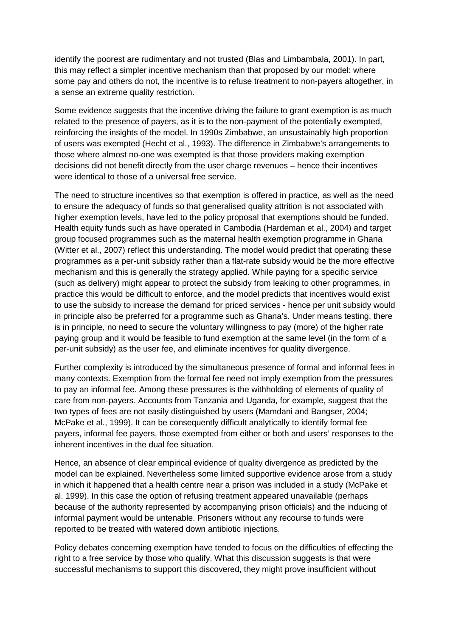identify the poorest are rudimentary and not trusted (Blas and Limbambala, 2001). In part, this may reflect a simpler incentive mechanism than that proposed by our model: where some pay and others do not, the incentive is to refuse treatment to non-payers altogether, in a sense an extreme quality restriction.

Some evidence suggests that the incentive driving the failure to grant exemption is as much related to the presence of payers, as it is to the non-payment of the potentially exempted, reinforcing the insights of the model. In 1990s Zimbabwe, an unsustainably high proportion of users was exempted (Hecht et al., 1993). The difference in Zimbabwe's arrangements to those where almost no-one was exempted is that those providers making exemption decisions did not benefit directly from the user charge revenues – hence their incentives were identical to those of a universal free service.

The need to structure incentives so that exemption is offered in practice, as well as the need to ensure the adequacy of funds so that generalised quality attrition is not associated with higher exemption levels, have led to the policy proposal that exemptions should be funded. Health equity funds such as have operated in Cambodia (Hardeman et al., 2004) and target group focused programmes such as the maternal health exemption programme in Ghana (Witter et al., 2007) reflect this understanding. The model would predict that operating these programmes as a per-unit subsidy rather than a flat-rate subsidy would be the more effective mechanism and this is generally the strategy applied. While paying for a specific service (such as delivery) might appear to protect the subsidy from leaking to other programmes, in practice this would be difficult to enforce, and the model predicts that incentives would exist to use the subsidy to increase the demand for priced services - hence per unit subsidy would in principle also be preferred for a programme such as Ghana's. Under means testing, there is in principle, no need to secure the voluntary willingness to pay (more) of the higher rate paying group and it would be feasible to fund exemption at the same level (in the form of a per-unit subsidy) as the user fee, and eliminate incentives for quality divergence.

Further complexity is introduced by the simultaneous presence of formal and informal fees in many contexts. Exemption from the formal fee need not imply exemption from the pressures to pay an informal fee. Among these pressures is the withholding of elements of quality of care from non-payers. Accounts from Tanzania and Uganda, for example, suggest that the two types of fees are not easily distinguished by users (Mamdani and Bangser, 2004; McPake et al., 1999). It can be consequently difficult analytically to identify formal fee payers, informal fee payers, those exempted from either or both and users' responses to the inherent incentives in the dual fee situation.

Hence, an absence of clear empirical evidence of quality divergence as predicted by the model can be explained. Nevertheless some limited supportive evidence arose from a study in which it happened that a health centre near a prison was included in a study (McPake et al. 1999). In this case the option of refusing treatment appeared unavailable (perhaps because of the authority represented by accompanying prison officials) and the inducing of informal payment would be untenable. Prisoners without any recourse to funds were reported to be treated with watered down antibiotic injections.

Policy debates concerning exemption have tended to focus on the difficulties of effecting the right to a free service by those who qualify. What this discussion suggests is that were successful mechanisms to support this discovered, they might prove insufficient without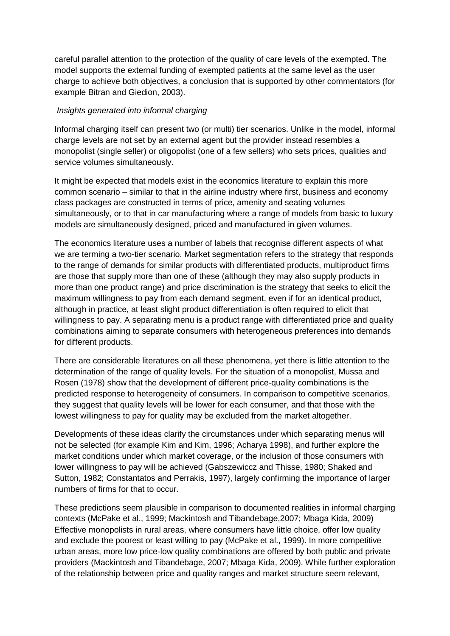careful parallel attention to the protection of the quality of care levels of the exempted. The model supports the external funding of exempted patients at the same level as the user charge to achieve both objectives, a conclusion that is supported by other commentators (for example Bitran and Giedion, 2003).

#### *Insights generated into informal charging*

Informal charging itself can present two (or multi) tier scenarios. Unlike in the model, informal charge levels are not set by an external agent but the provider instead resembles a monopolist (single seller) or oligopolist (one of a few sellers) who sets prices, qualities and service volumes simultaneously.

It might be expected that models exist in the economics literature to explain this more common scenario – similar to that in the airline industry where first, business and economy class packages are constructed in terms of price, amenity and seating volumes simultaneously, or to that in car manufacturing where a range of models from basic to luxury models are simultaneously designed, priced and manufactured in given volumes.

The economics literature uses a number of labels that recognise different aspects of what we are terming a two-tier scenario. Market segmentation refers to the strategy that responds to the range of demands for similar products with differentiated products, multiproduct firms are those that supply more than one of these (although they may also supply products in more than one product range) and price discrimination is the strategy that seeks to elicit the maximum willingness to pay from each demand segment, even if for an identical product, although in practice, at least slight product differentiation is often required to elicit that willingness to pay. A separating menu is a product range with differentiated price and quality combinations aiming to separate consumers with heterogeneous preferences into demands for different products.

There are considerable literatures on all these phenomena, yet there is little attention to the determination of the range of quality levels. For the situation of a monopolist, Mussa and Rosen (1978) show that the development of different price-quality combinations is the predicted response to heterogeneity of consumers. In comparison to competitive scenarios, they suggest that quality levels will be lower for each consumer, and that those with the lowest willingness to pay for quality may be excluded from the market altogether.

Developments of these ideas clarify the circumstances under which separating menus will not be selected (for example Kim and Kim, 1996; Acharya 1998), and further explore the market conditions under which market coverage, or the inclusion of those consumers with lower willingness to pay will be achieved (Gabszewiccz and Thisse, 1980; Shaked and Sutton, 1982; Constantatos and Perrakis, 1997), largely confirming the importance of larger numbers of firms for that to occur.

These predictions seem plausible in comparison to documented realities in informal charging contexts (McPake et al., 1999; Mackintosh and Tibandebage,2007; Mbaga Kida, 2009) Effective monopolists in rural areas, where consumers have little choice, offer low quality and exclude the poorest or least willing to pay (McPake et al., 1999). In more competitive urban areas, more low price-low quality combinations are offered by both public and private providers (Mackintosh and Tibandebage, 2007; Mbaga Kida, 2009). While further exploration of the relationship between price and quality ranges and market structure seem relevant,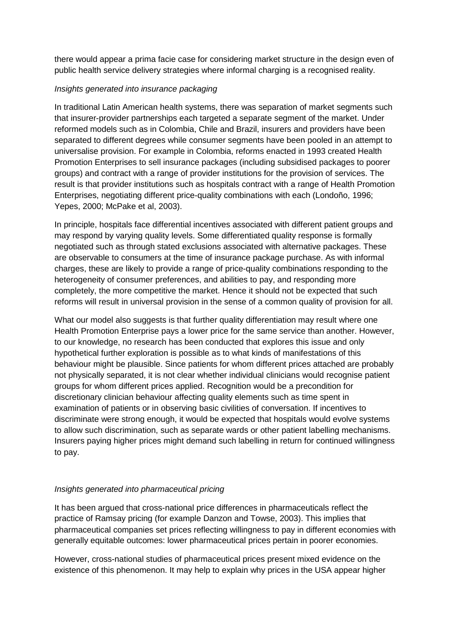there would appear a prima facie case for considering market structure in the design even of public health service delivery strategies where informal charging is a recognised reality.

# *Insights generated into insurance packaging*

In traditional Latin American health systems, there was separation of market segments such that insurer-provider partnerships each targeted a separate segment of the market. Under reformed models such as in Colombia, Chile and Brazil, insurers and providers have been separated to different degrees while consumer segments have been pooled in an attempt to universalise provision. For example in Colombia, reforms enacted in 1993 created Health Promotion Enterprises to sell insurance packages (including subsidised packages to poorer groups) and contract with a range of provider institutions for the provision of services. The result is that provider institutions such as hospitals contract with a range of Health Promotion Enterprises, negotiating different price-quality combinations with each (Londoño, 1996; Yepes, 2000; McPake et al, 2003).

In principle, hospitals face differential incentives associated with different patient groups and may respond by varying quality levels. Some differentiated quality response is formally negotiated such as through stated exclusions associated with alternative packages. These are observable to consumers at the time of insurance package purchase. As with informal charges, these are likely to provide a range of price-quality combinations responding to the heterogeneity of consumer preferences, and abilities to pay, and responding more completely, the more competitive the market. Hence it should not be expected that such reforms will result in universal provision in the sense of a common quality of provision for all.

What our model also suggests is that further quality differentiation may result where one Health Promotion Enterprise pays a lower price for the same service than another. However, to our knowledge, no research has been conducted that explores this issue and only hypothetical further exploration is possible as to what kinds of manifestations of this behaviour might be plausible. Since patients for whom different prices attached are probably not physically separated, it is not clear whether individual clinicians would recognise patient groups for whom different prices applied. Recognition would be a precondition for discretionary clinician behaviour affecting quality elements such as time spent in examination of patients or in observing basic civilities of conversation. If incentives to discriminate were strong enough, it would be expected that hospitals would evolve systems to allow such discrimination, such as separate wards or other patient labelling mechanisms. Insurers paying higher prices might demand such labelling in return for continued willingness to pay.

#### *Insights generated into pharmaceutical pricing*

It has been argued that cross-national price differences in pharmaceuticals reflect the practice of Ramsay pricing (for example Danzon and Towse, 2003). This implies that pharmaceutical companies set prices reflecting willingness to pay in different economies with generally equitable outcomes: lower pharmaceutical prices pertain in poorer economies.

However, cross-national studies of pharmaceutical prices present mixed evidence on the existence of this phenomenon. It may help to explain why prices in the USA appear higher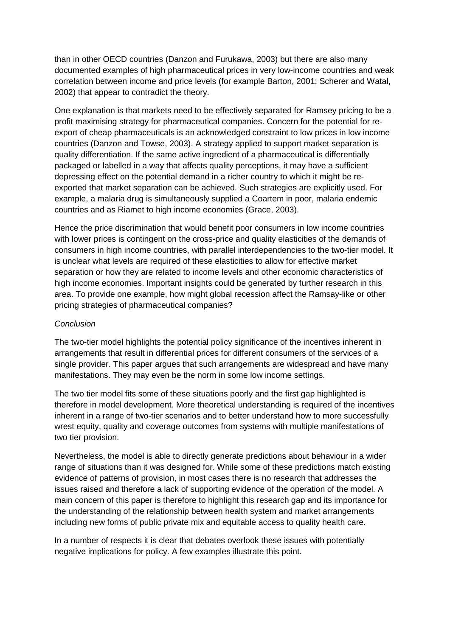than in other OECD countries (Danzon and Furukawa, 2003) but there are also many documented examples of high pharmaceutical prices in very low-income countries and weak correlation between income and price levels (for example Barton, 2001; Scherer and Watal, 2002) that appear to contradict the theory.

One explanation is that markets need to be effectively separated for Ramsey pricing to be a profit maximising strategy for pharmaceutical companies. Concern for the potential for reexport of cheap pharmaceuticals is an acknowledged constraint to low prices in low income countries (Danzon and Towse, 2003). A strategy applied to support market separation is quality differentiation. If the same active ingredient of a pharmaceutical is differentially packaged or labelled in a way that affects quality perceptions, it may have a sufficient depressing effect on the potential demand in a richer country to which it might be reexported that market separation can be achieved. Such strategies are explicitly used. For example, a malaria drug is simultaneously supplied a Coartem in poor, malaria endemic countries and as Riamet to high income economies (Grace, 2003).

Hence the price discrimination that would benefit poor consumers in low income countries with lower prices is contingent on the cross-price and quality elasticities of the demands of consumers in high income countries, with parallel interdependencies to the two-tier model. It is unclear what levels are required of these elasticities to allow for effective market separation or how they are related to income levels and other economic characteristics of high income economies. Important insights could be generated by further research in this area. To provide one example, how might global recession affect the Ramsay-like or other pricing strategies of pharmaceutical companies?

#### *Conclusion*

The two-tier model highlights the potential policy significance of the incentives inherent in arrangements that result in differential prices for different consumers of the services of a single provider. This paper argues that such arrangements are widespread and have many manifestations. They may even be the norm in some low income settings.

The two tier model fits some of these situations poorly and the first gap highlighted is therefore in model development. More theoretical understanding is required of the incentives inherent in a range of two-tier scenarios and to better understand how to more successfully wrest equity, quality and coverage outcomes from systems with multiple manifestations of two tier provision.

Nevertheless, the model is able to directly generate predictions about behaviour in a wider range of situations than it was designed for. While some of these predictions match existing evidence of patterns of provision, in most cases there is no research that addresses the issues raised and therefore a lack of supporting evidence of the operation of the model. A main concern of this paper is therefore to highlight this research gap and its importance for the understanding of the relationship between health system and market arrangements including new forms of public private mix and equitable access to quality health care.

In a number of respects it is clear that debates overlook these issues with potentially negative implications for policy. A few examples illustrate this point.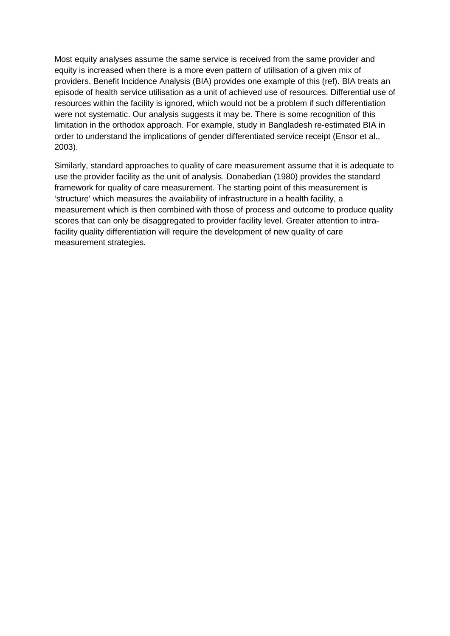Most equity analyses assume the same service is received from the same provider and equity is increased when there is a more even pattern of utilisation of a given mix of providers. Benefit Incidence Analysis (BIA) provides one example of this (ref). BIA treats an episode of health service utilisation as a unit of achieved use of resources. Differential use of resources within the facility is ignored, which would not be a problem if such differentiation were not systematic. Our analysis suggests it may be. There is some recognition of this limitation in the orthodox approach. For example, study in Bangladesh re-estimated BIA in order to understand the implications of gender differentiated service receipt (Ensor et al., 2003).

Similarly, standard approaches to quality of care measurement assume that it is adequate to use the provider facility as the unit of analysis. Donabedian (1980) provides the standard framework for quality of care measurement. The starting point of this measurement is 'structure' which measures the availability of infrastructure in a health facility, a measurement which is then combined with those of process and outcome to produce quality scores that can only be disaggregated to provider facility level. Greater attention to intrafacility quality differentiation will require the development of new quality of care measurement strategies.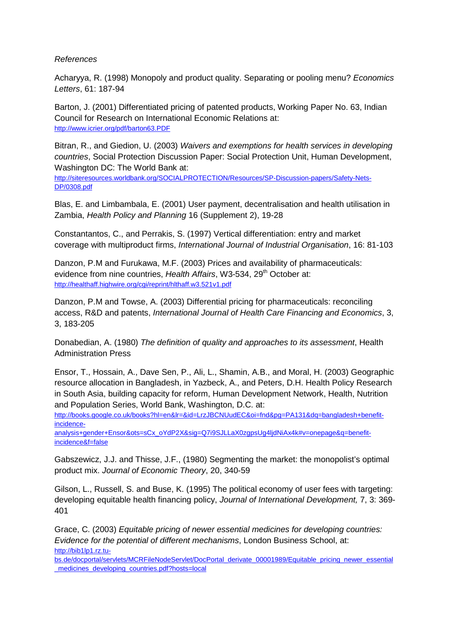#### *References*

Acharyya, R. (1998) Monopoly and product quality. Separating or pooling menu? *Economics Letters*, 61: 187-94

Barton, J. (2001) Differentiated pricing of patented products, Working Paper No. 63, Indian Council for Research on International Economic Relations at: http://www.icrier.org/pdf/barton63.PDF

Bitran, R., and Giedion, U. (2003) *Waivers and exemptions for health services in developing countries*, Social Protection Discussion Paper: Social Protection Unit, Human Development, Washington DC: The World Bank at:

http://siteresources.worldbank.org/SOCIALPROTECTION/Resources/SP-Discussion-papers/Safety-Nets-DP/0308.pdf

Blas, E. and Limbambala, E. (2001) User payment, decentralisation and health utilisation in Zambia, *Health Policy and Planning* 16 (Supplement 2), 19-28

Constantantos, C., and Perrakis, S. (1997) Vertical differentiation: entry and market coverage with multiproduct firms, *International Journal of Industrial Organisation*, 16: 81-103

Danzon, P.M and Furukawa, M.F. (2003) Prices and availability of pharmaceuticals: evidence from nine countries, *Health Affairs*, W3-534, 29<sup>th</sup> October at: http://healthaff.highwire.org/cgi/reprint/hlthaff.w3.521v1.pdf

Danzon, P.M and Towse, A. (2003) Differential pricing for pharmaceuticals: reconciling access, R&D and patents, *International Journal of Health Care Financing and Economics*, 3, 3, 183-205

Donabedian, A. (1980) *The definition of quality and approaches to its assessment*, Health Administration Press

Ensor, T., Hossain, A., Dave Sen, P., Ali, L., Shamin, A.B., and Moral, H. (2003) Geographic resource allocation in Bangladesh, in Yazbeck, A., and Peters, D.H. Health Policy Research in South Asia, building capacity for reform, Human Development Network, Health, Nutrition and Population Series, World Bank, Washington, D.C. at:

http://books.google.co.uk/books?hl=en&lr=&id=LrzJBCNUudEC&oi=fnd&pg=PA131&dq=bangladesh+benefitincidence-

analysis+gender+Ensor&ots=sCx\_oYdP2X&sig=Q7i9SJLLaX0zgpsUg4ljdNiAx4k#v=onepage&q=benefitincidence&f=false

Gabszewicz, J.J. and Thisse, J.F., (1980) Segmenting the market: the monopolist's optimal product mix. *Journal of Economic Theory*, 20, 340-59

Gilson, L., Russell, S. and Buse, K. (1995) The political economy of user fees with targeting: developing equitable health financing policy, *Journal of International Development,* 7, 3: 369- 401

Grace, C. (2003) *Equitable pricing of newer essential medicines for developing countries: Evidence for the potential of different mechanisms*, London Business School, at: http://bib1lp1.rz.tu-

bs.de/docportal/servlets/MCRFileNodeServlet/DocPortal\_derivate\_00001989/Equitable\_pricing\_newer\_essential \_medicines\_developing\_countries.pdf?hosts=local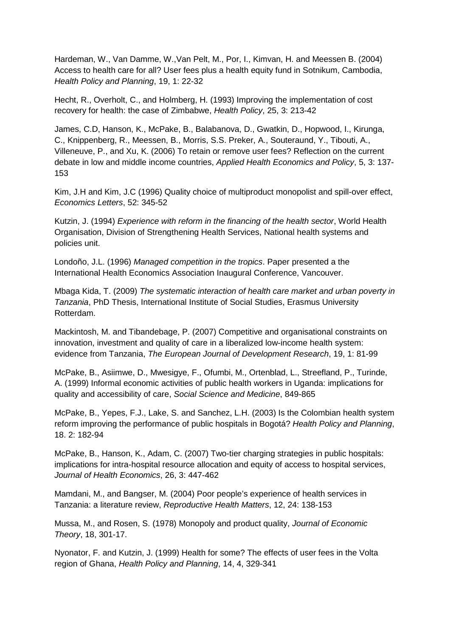Hardeman, W., Van Damme, W.,Van Pelt, M., Por, I., Kimvan, H. and Meessen B. (2004) Access to health care for all? User fees plus a health equity fund in Sotnikum, Cambodia, *Health Policy and Planning*, 19, 1: 22-32

Hecht, R., Overholt, C., and Holmberg, H. (1993) Improving the implementation of cost recovery for health: the case of Zimbabwe, *Health Policy*, 25, 3: 213-42

James, C.D, Hanson, K., McPake, B., Balabanova, D., Gwatkin, D., Hopwood, I., Kirunga, C., Knippenberg, R., Meessen, B., Morris, S.S. Preker, A., Souteraund, Y., Tibouti, A., Villeneuve, P., and Xu, K. (2006) To retain or remove user fees? Reflection on the current debate in low and middle income countries, *Applied Health Economics and Policy*, 5, 3: 137- 153

Kim, J.H and Kim, J.C (1996) Quality choice of multiproduct monopolist and spill-over effect, *Economics Letters*, 52: 345-52

Kutzin, J. (1994) *Experience with reform in the financing of the health sector*, World Health Organisation, Division of Strengthening Health Services, National health systems and policies unit.

Londoño, J.L. (1996) *Managed competition in the tropics*. Paper presented a the International Health Economics Association Inaugural Conference, Vancouver.

Mbaga Kida, T. (2009) *The systematic interaction of health care market and urban poverty in Tanzania*, PhD Thesis, International Institute of Social Studies, Erasmus University Rotterdam.

Mackintosh, M. and Tibandebage, P. (2007) Competitive and organisational constraints on innovation, investment and quality of care in a liberalized low-income health system: evidence from Tanzania, *The European Journal of Development Research*, 19, 1: 81-99

McPake, B., Asiimwe, D., Mwesigye, F., Ofumbi, M., Ortenblad, L., Streefland, P., Turinde, A. (1999) Informal economic activities of public health workers in Uganda: implications for quality and accessibility of care, *Social Science and Medicine*, 849-865

McPake, B., Yepes, F.J., Lake, S. and Sanchez, L.H. (2003) Is the Colombian health system reform improving the performance of public hospitals in Bogotá? *Health Policy and Planning*, 18. 2: 182-94

McPake, B., Hanson, K., Adam, C. (2007) Two-tier charging strategies in public hospitals: implications for intra-hospital resource allocation and equity of access to hospital services, *Journal of Health Economics*, 26, 3: 447-462

Mamdani, M., and Bangser, M. (2004) Poor people's experience of health services in Tanzania: a literature review, *Reproductive Health Matters*, 12, 24: 138-153

Mussa, M., and Rosen, S. (1978) Monopoly and product quality, *Journal of Economic Theory*, 18, 301-17.

Nyonator, F. and Kutzin, J. (1999) Health for some? The effects of user fees in the Volta region of Ghana, *Health Policy and Planning*, 14, 4, 329-341